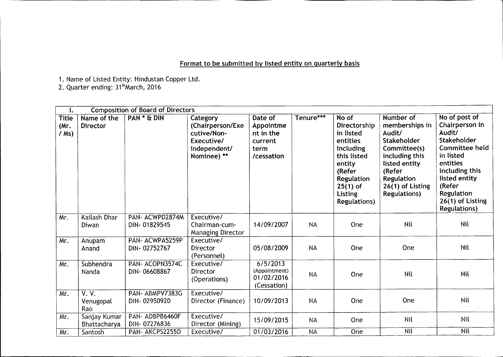## Format to be submitted by listed entity on quarterly basis

1. Name of Listed Entity: Hindustan Copper Ltd.

2. Quarter ending: 31<sup>st</sup>March, 2016

| Ι.                              | <b>Composition of Board of Directors</b> |                                 |                                                                                          |                                                                    |           |                                                                                                                                                              |                                                                                                                                                                             |                                                                                                                                                                                                           |
|---------------------------------|------------------------------------------|---------------------------------|------------------------------------------------------------------------------------------|--------------------------------------------------------------------|-----------|--------------------------------------------------------------------------------------------------------------------------------------------------------------|-----------------------------------------------------------------------------------------------------------------------------------------------------------------------------|-----------------------------------------------------------------------------------------------------------------------------------------------------------------------------------------------------------|
| <b>Title</b><br>(Mr.<br>$/$ Ms) | Name of the<br><b>Director</b>           | PAN * & DIN                     | Category<br>(Chairperson/Exe<br>cutive/Non-<br>Executive/<br>independent/<br>Nominee) ** | Date of<br>Appointme<br>nt in the<br>current<br>term<br>/cessation | Tenure*** | No of<br>Directorship<br>in listed<br>entities<br>including<br>this listed<br>entity<br>(Refer<br>Regulation<br>$25(1)$ of<br>Listing<br><b>Regulations)</b> | Number of<br>memberships in<br>Audit/<br>Stakeholder<br>Committee(s)<br>including this<br>listed entity<br>(Refer<br>Regulation<br>26(1) of Listing<br><b>Regulations</b> ) | No of post of<br>Chairperson in<br>Audit/<br>Stakeholder<br>Committee held<br>in listed<br>entities<br>including this<br>listed entity<br>(Refer<br>Regulation<br>26(1) of Listing<br><b>Regulations)</b> |
| Mr.                             | Kailash Dhar<br>Diwan                    | PAN-ACWPD2874M<br>DIN-01829545  | Executive/<br>Chairman-cum-<br><b>Managing Director</b>                                  | 14/09/2007                                                         | <b>NA</b> | One                                                                                                                                                          | Nil                                                                                                                                                                         | Nil                                                                                                                                                                                                       |
| Mr.                             | Anupam<br>Anand                          | PAN- ACWPA5259P<br>DIN-02752767 | Executive/<br><b>Director</b><br>(Personnel)                                             | 05/08/2009                                                         | <b>NA</b> | One                                                                                                                                                          | One                                                                                                                                                                         | Nil                                                                                                                                                                                                       |
| Mr.                             | Subhendra<br>Nanda                       | PAN- ACOPN3574C<br>DIN-06608867 | Executive/<br>Director<br>(Operations)                                                   | 6/5/2013<br>(Appointment)<br>01/02/2016<br>(Cessation)             | <b>NA</b> | One                                                                                                                                                          | Nil                                                                                                                                                                         | Nil                                                                                                                                                                                                       |
| Mr.                             | V. V.<br>Venugopal<br>Rao                | PAN-ABMPV7383G<br>DIN-02950920  | Executive/<br>Director (Finance)                                                         | 10/09/2013                                                         | <b>NA</b> | One                                                                                                                                                          | One                                                                                                                                                                         | Nil                                                                                                                                                                                                       |
| Mr.                             | Sanjay Kumar<br>Bhattacharya             | PAN- ADBPB6460F<br>DIN-07276836 | Executive/<br>Director (Mining)                                                          | 15/09/2015                                                         | <b>NA</b> | One                                                                                                                                                          | Nil                                                                                                                                                                         | Nil                                                                                                                                                                                                       |
| Mr.                             | Santosh                                  | PAN- AKCPS2255D                 | Executive/                                                                               | 01/03/2016                                                         | <b>NA</b> | One                                                                                                                                                          | <b>Nil</b>                                                                                                                                                                  | <b>Nil</b>                                                                                                                                                                                                |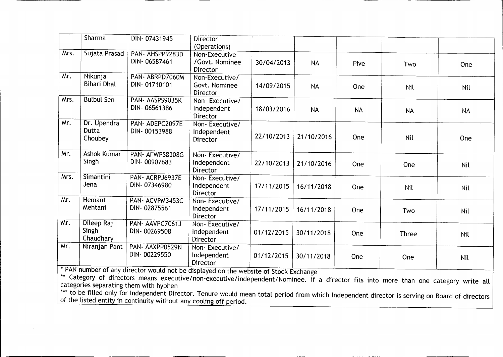|      | <b>Sharma</b>                    | DIN-07431945                                                                                                          | <b>Director</b><br>(Operations)                  |            |            |           |              |            |
|------|----------------------------------|-----------------------------------------------------------------------------------------------------------------------|--------------------------------------------------|------------|------------|-----------|--------------|------------|
| Mrs. | Sujata Prasad                    | PAN- AHSPP9283D<br>DIN-06587461                                                                                       | Non-Executive<br>/Govt. Nominee<br>Director      | 30/04/2013 | <b>NA</b>  | Five      | Two          | One        |
| Mr.  | Nikunja<br><b>Bihari Dhal</b>    | PAN-ABRPD7060M<br>DIN-01710101                                                                                        | Non-Executive/<br>Govt. Nominee<br>Director      | 14/09/2015 | <b>NA</b>  | One       | Nil          | Nil        |
| Mrs. | <b>Bulbul Sen</b>                | PAN- AASPS9035K<br>DIN-06561386                                                                                       | Non-Executive/<br>Independent<br>Director        | 18/03/2016 | <b>NA</b>  | <b>NA</b> | <b>NA</b>    | <b>NA</b>  |
| Mr.  | Dr. Upendra<br>Dutta<br>Choubey  | PAN-ADEPC2097E<br>DIN-00153988                                                                                        | Non-Executive/<br>Independent<br>Director        | 22/10/2013 | 21/10/2016 | One       | Nil          | One        |
| Mr.  | <b>Ashok Kumar</b><br>Singh      | PAN-AFWPS8308G<br>DIN-00907683                                                                                        | Non-Executive/<br>Independent<br><b>Director</b> | 22/10/2013 | 21/10/2016 | One       | One          | <b>Nil</b> |
| Mrs. | Simantini<br>Jena                | PAN-ACRPJ6937E<br>DIN-07346980                                                                                        | Non-Executive/<br>Independent<br><b>Director</b> | 17/11/2015 | 16/11/2018 | One       | Nil          | <b>Nil</b> |
| Mr.  | <b>Hemant</b><br>Mehtani         | PAN-ACVPM3453C<br>DIN-02875561                                                                                        | Non-Executive/<br>Independent<br>Director        | 17/11/2015 | 16/11/2018 | One       | Two          | Nil        |
| Mr.  | Dileep Raj<br>Singh<br>Chaudhary | PAN-AAVPC7061J<br>DIN-00269508                                                                                        | Non-Executive/<br>Independent<br>Director        | 01/12/2015 | 30/11/2018 | One       | <b>Three</b> | Nil        |
| Mr.  | Niranjan Pant                    | PAN- AAXPP0529N<br>DIN-00229550<br>* PAN number of any director would not be displayed on the website of Steal Fuchan | Non-Executive/<br>Independent<br>Director        | 01/12/2015 | 30/11/2018 | One       | One          | Nil        |

<u>Ii: 1999 - Andre Sterne American Ameri</u>

\* PAN number of any director would not be displayed on the website of Stock Exchange

\*\* Category of directors means executive/non-executive/independent/Nominee. if a director fits into more than one category write al categories separating them with hyphen

to be filled only for Independent Director. Tenure would mean total period from which Independent director is serving on Board of director of the listed entity in continuity without any cooling off period.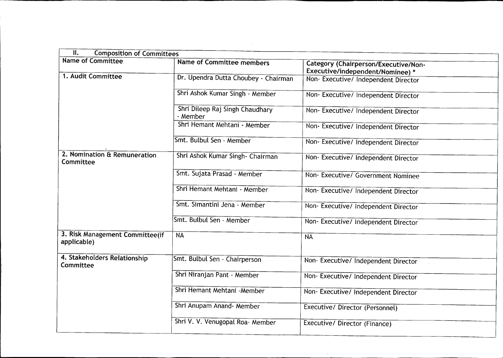| II.<br><b>Composition of Committees</b>        |                                             |                                                                                 |  |  |  |  |
|------------------------------------------------|---------------------------------------------|---------------------------------------------------------------------------------|--|--|--|--|
| <b>Name of Committee</b>                       | <b>Name of Committee members</b>            | <b>Category (Chairperson/Executive/Non-</b><br>Executive/independent/Nominee) * |  |  |  |  |
| 1. Audit Committee                             | Dr. Upendra Dutta Choubey - Chairman        | Non-Executive/ Independent Director                                             |  |  |  |  |
|                                                | Shri Ashok Kumar Singh - Member             | Non- Executive/ Independent Director                                            |  |  |  |  |
|                                                | Shri Dileep Raj Singh Chaudhary<br>- Member | Non-Executive/Independent Director                                              |  |  |  |  |
|                                                | Shri Hemant Mehtani - Member                | Non- Executive/ Independent Director                                            |  |  |  |  |
|                                                | Smt. Bulbul Sen - Member                    | Non- Executive/ Independent Director                                            |  |  |  |  |
| 2. Nomination & Remuneration<br>Committee      | Shri Ashok Kumar Singh- Chairman            | Non- Executive/ Independent Director                                            |  |  |  |  |
|                                                | Smt. Sujata Prasad - Member                 | Non- Executive/ Government Nominee                                              |  |  |  |  |
|                                                | Shri Hemant Mehtani - Member                | Non- Executive/ Independent Director                                            |  |  |  |  |
|                                                | Smt. Simantini Jena - Member                | Non- Executive/ Independent Director                                            |  |  |  |  |
|                                                | Smt. Bulbul Sen - Member                    | Non- Executive/ Independent Director                                            |  |  |  |  |
| 3. Risk Management Committee(if<br>applicable) | <b>NA</b>                                   | <b>NA</b>                                                                       |  |  |  |  |
| 4. Stakeholders Relationship<br>Committee      | Smt. Bulbul Sen - Chairperson               | Non-Executive/ Independent Director                                             |  |  |  |  |
|                                                | Shri Niranjan Pant - Member                 | Non- Executive/ Independent Director                                            |  |  |  |  |
|                                                | Shri Hemant Mehtani - Member                | Non- Executive/ Independent Director                                            |  |  |  |  |
|                                                | Shri Anupam Anand - Member                  | Executive/Director (Personnel)                                                  |  |  |  |  |
|                                                | Shri V. V. Venugopal Roa- Member            | Executive/ Director (Finance)                                                   |  |  |  |  |

 $\mathcal{L}(\mathcal{L}^{\mathcal{L}})$  and  $\mathcal{L}^{\mathcal{L}}$  are  $\mathcal{L}^{\mathcal{L}}$  . In the contribution of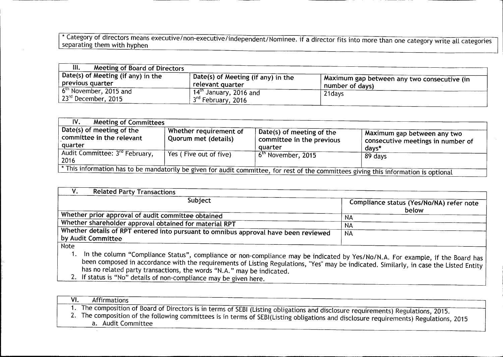\* Category of directors means executive/non-executive/independent/Nominee. if a director fits into more than one category write all categories separating them with hyphen

| Ш.<br>Meeting of Board of Directors                         |                                            |                                               |
|-------------------------------------------------------------|--------------------------------------------|-----------------------------------------------|
| Date(s) of Meeting (if any) in the<br>$_1$ previous quarter | (Date(s) of Meeting (if any) in the        | A Maximum gap between any two consecutive (in |
| $6th$ November, 2015 and                                    | relevant quarter<br>14th January, 2016 and | number of days)<br>21 days                    |
| $\vert$ 23 <sup>rd</sup> December, 2015                     | 3rd February, 2016                         |                                               |

| IV.<br>Meeting of Committees                                                                                                                                 |                                                |                                                                   |                                                                           |  |  |  |
|--------------------------------------------------------------------------------------------------------------------------------------------------------------|------------------------------------------------|-------------------------------------------------------------------|---------------------------------------------------------------------------|--|--|--|
| Date(s) of meeting of the<br>committee in the relevant<br>quarter                                                                                            | Whether requirement of<br>Quorum met (details) | Date(s) of meeting of the<br>committee in the previous<br>quarter | Aaximum gap between any two<br>consecutive meetings in number of<br>days* |  |  |  |
| Audit Committee: 3 <sup>rd</sup> February,<br>2016                                                                                                           | Yes (Five out of five)                         | 6 <sup>th</sup> November, 2015                                    | 89 days                                                                   |  |  |  |
| $\overline{\phantom{a}}$ This information has to be mandatorily be given for audit committee, for rest of the committees giving this information is optional |                                                |                                                                   |                                                                           |  |  |  |

| <b>Related Party Transactions</b>                                                                                                        |                                                   |
|------------------------------------------------------------------------------------------------------------------------------------------|---------------------------------------------------|
| Subject                                                                                                                                  | Compliance status (Yes/No/NA) refer note<br>below |
| Whether prior approval of audit committee obtained                                                                                       | NА                                                |
| Whether shareholder approval obtained for material RPT                                                                                   | NA                                                |
| Whether details of RPT entered into pursuant to omnibus approval have been reviewed<br>by Audit Committee                                | NA                                                |
| Note<br>1. In the column "Compliance Status", compliance or non-compliance may be indicated by Yes/No/N.A. For example, if the Board has |                                                   |

been composed in accordance with the requirements of Listing Regulations, "Yes" may be indicated. Similarly, in case the Listed Entity has no related party transactions, the words "N.A." may be indicated 2. If status is "No" details of non-compliance may be given here.

VI. Affirmations 1. The composition of Board of Directors is in terms of SEBI (Listing obligations and disclosure requirements) Regulations, 2015. 2. The composition of the following committees is in terms of SEBI(Listing obligations and disclosure requirements) Regulations, 2015 a. Audit Committee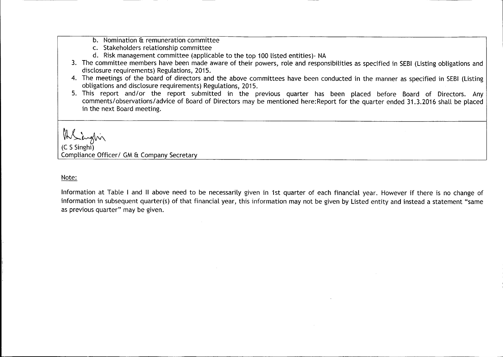- b. Nomination & remuneration committee
- c. Stakeholders relationship committee
- d. Risk management committee (applicable to the top 100 listed entities)- NA
- 3. The committee members have been made aware of their powers, role and responsibilities as specified in SEBI (Listing obligations and disclosure requirements) Regulations, 2015.
- 4. The meetings of the board of directors and the above committees have been conducted in the manner as specified in SEBI (Listing obligations and disclosure requirements) Regulations, 2015.
- 5. This report and/or the report submitted in the previous quarter has been placed before Board of Directors. Any comments/observations/advice of Board of Directors may be mentioned here:Report for the quarter ended 31.3.2016 shall be placed in the next Board meeting.

MS inglin

Compliance Officer/ GM & Company Secretary

Note:

Information at Table I and II above need to be necessarily given in 1st quarter of each financial year. However if there is no change of information in subsequent quarter(s) of that financial year, this information may not be given by Listed entity and instead a statement "same as previous quarter" may be given.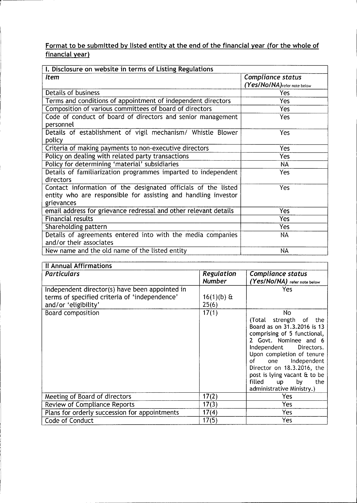## Format to be submitted by listed entity at the end of the financial year (for the whole of financial year)

t

| I. Disclosure on website in terms of Listing Regulations                                                                                      |                                                   |  |  |  |  |
|-----------------------------------------------------------------------------------------------------------------------------------------------|---------------------------------------------------|--|--|--|--|
| <i>Item</i>                                                                                                                                   | Compliance status<br>(Yes/No/NA) refer note below |  |  |  |  |
| Details of business                                                                                                                           | Yes                                               |  |  |  |  |
| Terms and conditions of appointment of independent directors                                                                                  | Yes                                               |  |  |  |  |
| Composition of various committees of board of directors                                                                                       | Yes                                               |  |  |  |  |
| Code of conduct of board of directors and senior management<br>personnel                                                                      | <b>Yes</b>                                        |  |  |  |  |
| Details of establishment of vigil mechanism/ Whistle Blower<br>policy                                                                         | Yes                                               |  |  |  |  |
| Criteria of making payments to non-executive directors                                                                                        | Yes                                               |  |  |  |  |
| Policy on dealing with related party transactions                                                                                             | Yes                                               |  |  |  |  |
| Policy for determining 'material' subsidiaries                                                                                                | NA                                                |  |  |  |  |
| Details of familiarization programmes imparted to independent<br>directors                                                                    | Yes                                               |  |  |  |  |
| Contact information of the designated officials of the listed<br>entity who are responsible for assisting and handling investor<br>grievances | Yes                                               |  |  |  |  |
| email address for grievance redressal and other relevant details                                                                              | Yes                                               |  |  |  |  |
| <b>Financial results</b>                                                                                                                      | Yes                                               |  |  |  |  |
| Shareholding pattern                                                                                                                          | Yes                                               |  |  |  |  |
| Details of agreements entered into with the media companies<br>and/or their associates                                                        | NA                                                |  |  |  |  |
| New name and the old name of the listed entity                                                                                                | NA                                                |  |  |  |  |

| Il Annual Affirmations                         |               |                                                       |  |  |  |  |
|------------------------------------------------|---------------|-------------------------------------------------------|--|--|--|--|
| <b>Particulars</b>                             | Regulation    | Compliance status                                     |  |  |  |  |
|                                                | <b>Number</b> | (Yes/NO/NA) refer note below                          |  |  |  |  |
| Independent director(s) have been appointed in |               | Yes                                                   |  |  |  |  |
| terms of specified criteria of 'independence'  | $16(1)(b)$ &  |                                                       |  |  |  |  |
| and/or 'eligibility'                           | 25(6)         |                                                       |  |  |  |  |
| Board composition                              | 17(1)         | No                                                    |  |  |  |  |
|                                                |               | (Total strength of the<br>Board as on 31.3.2016 is 13 |  |  |  |  |
|                                                |               | comprising of 5 functional,                           |  |  |  |  |
|                                                |               | 2 Govt. Nominee and 6                                 |  |  |  |  |
|                                                |               | Independent<br>Directors.                             |  |  |  |  |
|                                                |               | Upon completion of tenure<br>one Independent<br>of a  |  |  |  |  |
|                                                |               | Director on 18.3.2016, the                            |  |  |  |  |
|                                                |               | post is lying vacant & to be                          |  |  |  |  |
|                                                |               | filled<br><b>up</b><br>by<br>the                      |  |  |  |  |
|                                                |               | administrative Ministry.)                             |  |  |  |  |
| Meeting of Board of directors                  | 17(2)         | Yes                                                   |  |  |  |  |
| <b>Review of Compliance Reports</b>            | 17(3)         | Yes                                                   |  |  |  |  |
| Plans for orderly succession for appointments  | 17(4)         | Yes                                                   |  |  |  |  |
| Code of Conduct                                | 17(5)         | Yes                                                   |  |  |  |  |